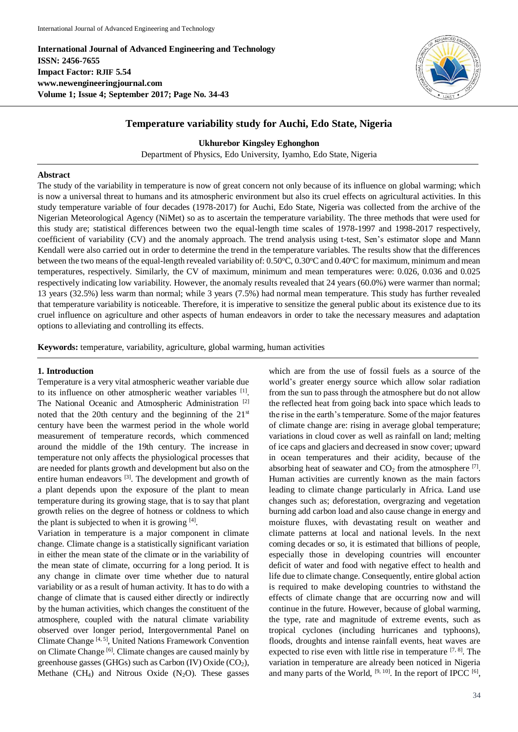**International Journal of Advanced Engineering and Technology ISSN: 2456-7655 Impact Factor: RJIF 5.54 www.newengineeringjournal.com Volume 1; Issue 4; September 2017; Page No. 34-43**



# **Temperature variability study for Auchi, Edo State, Nigeria**

**Ukhurebor Kingsley Eghonghon**

Department of Physics, Edo University, Iyamho, Edo State, Nigeria

# **Abstract**

The study of the variability in temperature is now of great concern not only because of its influence on global warming; which is now a universal threat to humans and its atmospheric environment but also its cruel effects on agricultural activities. In this study temperature variable of four decades (1978-2017) for Auchi, Edo State, Nigeria was collected from the archive of the Nigerian Meteorological Agency (NiMet) so as to ascertain the temperature variability. The three methods that were used for this study are; statistical differences between two the equal-length time scales of 1978-1997 and 1998-2017 respectively, coefficient of variability (CV) and the anomaly approach. The trend analysis using t-test, Sen's estimator slope and Mann Kendall were also carried out in order to determine the trend in the temperature variables. The results show that the differences between the two means of the equal-length revealed variability of: 0.50°C, 0.30°C and 0.40°C for maximum, minimum and mean temperatures, respectively. Similarly, the CV of maximum, minimum and mean temperatures were: 0.026, 0.036 and 0.025 respectively indicating low variability. However, the anomaly results revealed that 24 years (60.0%) were warmer than normal; 13 years (32.5%) less warm than normal; while 3 years (7.5%) had normal mean temperature. This study has further revealed that temperature variability is noticeable. Therefore, it is imperative to sensitize the general public about its existence due to its cruel influence on agriculture and other aspects of human endeavors in order to take the necessary measures and adaptation options to alleviating and controlling its effects.

**Keywords:** temperature, variability, agriculture, global warming, human activities

# **1. Introduction**

Temperature is a very vital atmospheric weather variable due to its influence on other atmospheric weather variables [1]. The National Oceanic and Atmospheric Administration<sup>[2]</sup> noted that the 20th century and the beginning of the  $21<sup>st</sup>$ century have been the warmest period in the whole world measurement of temperature records, which commenced around the middle of the 19th century. The increase in temperature not only affects the physiological processes that are needed for plants growth and development but also on the entire human endeavors <sup>[3]</sup>. The development and growth of a plant depends upon the exposure of the plant to mean temperature during its growing stage, that is to say that plant growth relies on the degree of hotness or coldness to which the plant is subjected to when it is growing [4].

Variation in temperature is a major component in climate change. Climate change is a statistically significant variation in either the mean state of the climate or in the variability of the mean state of climate, occurring for a long period. It is any change in climate over time whether due to natural variability or as a result of human activity. It has to do with a change of climate that is caused either directly or indirectly by the human activities, which changes the constituent of the atmosphere, coupled with the natural climate variability observed over longer period, Intergovernmental Panel on Climate Change [4, 5], United Nations Framework Convention on Climate Change [6]. Climate changes are caused mainly by greenhouse gasses (GHGs) such as Carbon (IV) Oxide ( $CO<sub>2</sub>$ ), Methane  $(CH_4)$  and Nitrous Oxide  $(N_2O)$ . These gasses

which are from the use of fossil fuels as a source of the world's greater energy source which allow solar radiation from the sun to pass through the atmosphere but do not allow the reflected heat from going back into space which leads to the rise in the earth's temperature. Some of the major features of climate change are: rising in average global temperature; variations in cloud cover as well as rainfall on land; melting of ice caps and glaciers and decreased in snow cover; upward in ocean temperatures and their acidity, because of the absorbing heat of seawater and  $CO<sub>2</sub>$  from the atmosphere  $^{[7]}$ . Human activities are currently known as the main factors leading to climate change particularly in Africa. Land use changes such as; deforestation, overgrazing and vegetation burning add carbon load and also cause change in energy and moisture fluxes, with devastating result on weather and climate patterns at local and national levels. In the next coming decades or so, it is estimated that billions of people, especially those in developing countries will encounter deficit of water and food with negative effect to health and life due to climate change. Consequently, entire global action is required to make developing countries to withstand the effects of climate change that are occurring now and will continue in the future. However, because of global warming, the type, rate and magnitude of extreme events, such as tropical cyclones (including hurricanes and typhoons), floods, droughts and intense rainfall events, heat waves are expected to rise even with little rise in temperature  $[7, 8]$ . The variation in temperature are already been noticed in Nigeria and many parts of the World,  $[9, 10]$ . In the report of IPCC  $[6]$ ,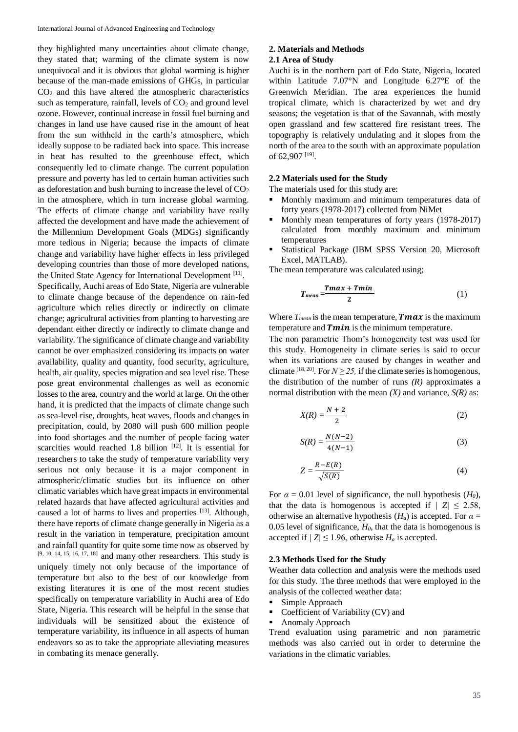they highlighted many uncertainties about climate change, they stated that; warming of the climate system is now unequivocal and it is obvious that global warming is higher because of the man-made emissions of GHGs, in particular  $CO<sub>2</sub>$  and this have altered the atmospheric characteristics such as temperature, rainfall, levels of  $CO<sub>2</sub>$  and ground level ozone. However, continual increase in fossil fuel burning and changes in land use have caused rise in the amount of heat from the sun withheld in the earth's atmosphere, which ideally suppose to be radiated back into space. This increase in heat has resulted to the greenhouse effect, which consequently led to climate change. The current population pressure and poverty has led to certain human activities such as deforestation and bush burning to increase the level of  $CO<sub>2</sub>$ in the atmosphere, which in turn increase global warming. The effects of climate change and variability have really affected the development and have made the achievement of the Millennium Development Goals (MDGs) significantly more tedious in Nigeria; because the impacts of climate change and variability have higher effects in less privileged developing countries than those of more developed nations, the United State Agency for International Development<sup>[11]</sup>.

Specifically, Auchi areas of Edo State, Nigeria are vulnerable to climate change because of the dependence on rain-fed agriculture which relies directly or indirectly on climate change; agricultural activities from planting to harvesting are dependant either directly or indirectly to climate change and variability. The significance of climate change and variability cannot be over emphasized considering its impacts on water availability, quality and quantity, food security, agriculture, health, air quality, species migration and sea level rise. These pose great environmental challenges as well as economic losses to the area, country and the world at large. On the other hand, it is predicted that the impacts of climate change such as sea-level rise, droughts, heat waves, floods and changes in precipitation, could, by 2080 will push 600 million people into food shortages and the number of people facing water scarcities would reached 1.8 billion  $[12]$ . It is essential for researchers to take the study of temperature variability very serious not only because it is a major component in atmospheric/climatic studies but its influence on other climatic variables which have great impacts in environmental related hazards that have affected agricultural activities and caused a lot of harms to lives and properties <sup>[13]</sup>. Although, there have reports of climate change generally in Nigeria as a result in the variation in temperature, precipitation amount and rainfall quantity for quite some time now as observed by [9, 10, 14, 15, 16, 17, 18] and many other researchers. This study is uniquely timely not only because of the importance of temperature but also to the best of our knowledge from existing literatures it is one of the most recent studies specifically on temperature variability in Auchi area of Edo State, Nigeria. This research will be helpful in the sense that individuals will be sensitized about the existence of temperature variability, its influence in all aspects of human endeavors so as to take the appropriate alleviating measures in combating its menace generally.

# **2. Materials and Methods**

## **2.1 Area of Study**

Auchi is in the northern part of Edo State, Nigeria, located within Latitude 7.07°N and Longitude 6.27°E of the Greenwich Meridian. The area experiences the humid tropical climate, which is characterized by wet and dry seasons; the vegetation is that of the Savannah, with mostly open grassland and few scattered fire resistant trees. The topography is relatively undulating and it slopes from the north of the area to the south with an approximate population of 62,907<sup>[19]</sup>.

# **2.2 Materials used for the Study**

The materials used for this study are:

- Monthly maximum and minimum temperatures data of forty years (1978-2017) collected from NiMet
- Monthly mean temperatures of forty years (1978-2017) calculated from monthly maximum and minimum temperatures
- Statistical Package (IBM SPSS Version 20, Microsoft Excel, MATLAB).

The mean temperature was calculated using;

$$
T_{mean} = \frac{Tmax + Tmin}{2} \tag{1}
$$

Where  $T_{mean}$  is the mean temperature, **Tmax** is the maximum temperature and  $Tmin$  is the minimum temperature.

The non parametric Thom's homogeneity test was used for this study. Homogeneity in climate series is said to occur when its variations are caused by changes in weather and climate <sup>[18, 20]</sup>. For  $N \ge 25$ , if the climate series is homogenous, the distribution of the number of runs  $(R)$  approximates a normal distribution with the mean *(X)* and variance, *S(R)* as:

$$
X(R) = \frac{N+2}{2} \tag{2}
$$

$$
S(R) = \frac{N(N-2)}{4(N-1)}
$$
 (3)

$$
Z = \frac{R - E(R)}{\sqrt{S(R)}}\tag{4}
$$

For  $\alpha = 0.01$  level of significance, the null hypothesis  $(H_0)$ , that the data is homogenous is accepted if  $|Z| \le 2.58$ , otherwise an alternative hypothesis  $(H_a)$  is accepted. For  $\alpha =$ 0.05 level of significance,  $H_0$ , that the data is homogenous is accepted if  $/Z \leq 1.96$ , otherwise  $H_a$  is accepted.

# **2.3 Methods Used for the Study**

Weather data collection and analysis were the methods used for this study. The three methods that were employed in the analysis of the collected weather data:

- Simple Approach
- Coefficient of Variability (CV) and
- Anomaly Approach

Trend evaluation using parametric and non parametric methods was also carried out in order to determine the variations in the climatic variables.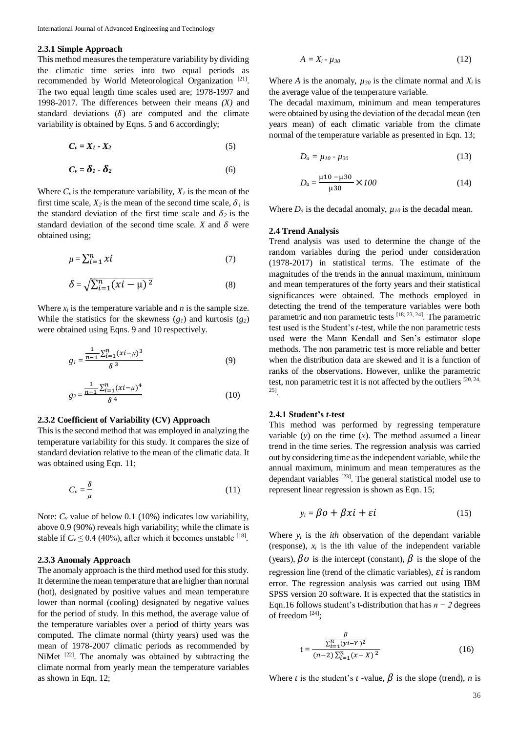## **2.3.1 Simple Approach**

This method measures the temperature variability by dividing the climatic time series into two equal periods as recommended by World Meteorological Organization<sup>[21]</sup>. The two equal length time scales used are; 1978-1997 and 1998-2017. The differences between their means *(X)* and standard deviations  $(\delta)$  are computed and the climate variability is obtained by Eqns. 5 and 6 accordingly;

$$
C_v = X_1 - X_2 \tag{5}
$$

$$
C_v = \delta_1 - \delta_2 \tag{6}
$$

Where  $C_v$  is the temperature variability,  $X_l$  is the mean of the first time scale,  $X_2$  is the mean of the second time scale,  $\delta_l$  is the standard deviation of the first time scale and  $\delta_2$  is the standard deviation of the second time scale.  $X$  and  $\delta$  were obtained using;

$$
\mu = \sum_{i=1}^{n} \chi i \tag{7}
$$

$$
\delta = \sqrt{\sum_{i=1}^{n} (xi - \mu)^2}
$$
 (8)

Where  $x_i$  is the temperature variable and *n* is the sample size. While the statistics for the skewness  $(g_1)$  and kurtosis  $(g_2)$ were obtained using Eqns. 9 and 10 respectively.

$$
g_{l} = \frac{\frac{1}{n-1} \sum_{i=1}^{n} (x i - \mu)^{3}}{\delta^{3}}
$$
(9)

$$
g_2 = \frac{\frac{1}{n-1} \sum_{i=1}^n (xi - \mu)^4}{\delta^4} \tag{10}
$$

#### **2.3.2 Coefficient of Variability (CV) Approach**

This is the second method that was employed in analyzing the temperature variability for this study. It compares the size of standard deviation relative to the mean of the climatic data. It was obtained using Eqn. 11;

$$
C_v = \frac{\delta}{\mu} \tag{11}
$$

Note:  $C_v$  value of below 0.1 (10%) indicates low variability, above 0.9 (90%) reveals high variability; while the climate is stable if  $C_v \le 0.4$  (40%), after which it becomes unstable <sup>[18]</sup>.

# **2.3.3 Anomaly Approach**

The anomaly approach is the third method used for this study. It determine the mean temperature that are higher than normal (hot), designated by positive values and mean temperature lower than normal (cooling) designated by negative values for the period of study. In this method, the average value of the temperature variables over a period of thirty years was computed. The climate normal (thirty years) used was the mean of 1978-2007 climatic periods as recommended by NiMet <sup>[22]</sup>. The anomaly was obtained by subtracting the climate normal from yearly mean the temperature variables as shown in Eqn. 12;

$$
A = X_i - \mu_{30} \tag{12}
$$

Where *A* is the anomaly,  $\mu_{30}$  is the climate normal and  $X_i$  is the average value of the temperature variable.

The decadal maximum, minimum and mean temperatures were obtained by using the deviation of the decadal mean (ten years mean) of each climatic variable from the climate normal of the temperature variable as presented in Eqn. 13;

$$
D_a = \mu_{10} - \mu_{30} \tag{13}
$$

$$
D_a = \frac{\mu 10 - \mu 30}{\mu 30} \times 100
$$
 (14)

Where  $D_a$  is the decadal anomaly,  $\mu_{10}$  is the decadal mean.

#### **2.4 Trend Analysis**

Trend analysis was used to determine the change of the random variables during the period under consideration (1978-2017) in statistical terms. The estimate of the magnitudes of the trends in the annual maximum, minimum and mean temperatures of the forty years and their statistical significances were obtained. The methods employed in detecting the trend of the temperature variables were both parametric and non parametric tests [18, 23, 24]. The parametric test used is the Student's *t*-test, while the non parametric tests used were the Mann Kendall and Sen's estimator slope methods. The non parametric test is more reliable and better when the distribution data are skewed and it is a function of ranks of the observations. However, unlike the parametric test, non parametric test it is not affected by the outliers [20, 24, 25] .

## **2.4.1 Student's** *t***-test**

This method was performed by regressing temperature variable  $(y)$  on the time  $(x)$ . The method assumed a linear trend in the time series. The regression analysis was carried out by considering time as the independent variable, while the annual maximum, minimum and mean temperatures as the dependant variables [23]. The general statistical model use to represent linear regression is shown as Eqn. 15;

$$
y_i = \beta o + \beta x i + \varepsilon i \tag{15}
$$

Where  $y_i$  is the *ith* observation of the dependant variable (response),  $x_i$  is the ith value of the independent variable (years),  $\beta o$  is the intercept (constant),  $\beta$  is the slope of the regression line (trend of the climatic variables),  $\varepsilon i$  is random error. The regression analysis was carried out using IBM SPSS version 20 software. It is expected that the statistics in Eqn.16 follows student's t-distribution that has *n − 2* degrees of freedom [24];

$$
t = \frac{\frac{\beta}{\sum_{i=1}^{n} (y_i - Y)^2}}{(n-2) \sum_{i=1}^{n} (x - X)^2}
$$
 (16)

Where *t* is the student's *t* -value,  $\beta$  is the slope (trend), *n* is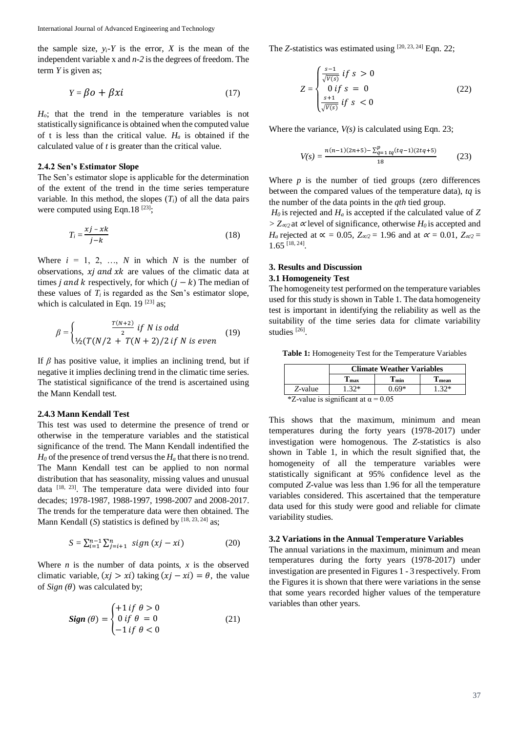the sample size,  $y_i$ <sup>*-Y*</sup> is the error, *X* is the mean of the independent variable x and *n-2* is the degrees of freedom. The term *Y* is given as;

$$
Y = \beta o + \beta x i \tag{17}
$$

*Ho*; that the trend in the temperature variables is not statistically significance is obtained when the computed value of t is less than the critical value.  $H_a$  is obtained if the calculated value of *t* is greater than the critical value.

# **2.4.2 Sen's Estimator Slope**

The Sen's estimator slope is applicable for the determination of the extent of the trend in the time series temperature variable. In this method, the slopes  $(T_i)$  of all the data pairs were computed using Eqn.  $18^{[23]}\cdot$ 

$$
T_i = \frac{xj - xk}{j - k} \tag{18}
$$

Where  $i = 1, 2, \ldots, N$  in which *N* is the number of observations,  $xj$  and  $xk$  are values of the climatic data at times *j* and *k* respectively, for which  $(j - k)$  The median of these values of  $T_i$  is regarded as the Sen's estimator slope, which is calculated in Eqn. 19 $^{[23]}$  as;

$$
\beta = \begin{cases} \frac{T(N+2)}{2} & \text{if } N \text{ is odd} \\ \frac{1}{2}(T(N/2 + T(N+2))/2 & \text{if } N \text{ is even} \end{cases} (19)
$$

If *β* has positive value, it implies an inclining trend, but if negative it implies declining trend in the climatic time series. The statistical significance of the trend is ascertained using the Mann Kendall test.

# **2.4.3 Mann Kendall Test**

This test was used to determine the presence of trend or otherwise in the temperature variables and the statistical significance of the trend. The Mann Kendall indentified the  $H_0$  of the presence of trend versus the  $H_a$  that there is no trend. The Mann Kendall test can be applied to non normal distribution that has seasonality, missing values and unusual data [18, 23]. The temperature data were divided into four decades; 1978-1987, 1988-1997, 1998-2007 and 2008-2017. The trends for the temperature data were then obtained. The Mann Kendall (*S*) statistics is defined by <sup>[18, 23, 24]</sup> as;

$$
S = \sum_{i=1}^{n-1} \sum_{j=i+1}^{n} sign (xj - xi)
$$
 (20)

Where  $n$  is the number of data points,  $x$  is the observed climatic variable,  $(xj > xi)$  taking  $(xj - xi) = \theta$ , the value of  $Sign(\theta)$  was calculated by;

$$
Sign(\theta) = \begin{cases} +1 \text{ if } \theta > 0\\ 0 \text{ if } \theta = 0\\ -1 \text{ if } \theta < 0 \end{cases}
$$
 (21)

The *Z*-statistics was estimated using [20, 23, 24] Eqn. 22;

$$
Z = \begin{cases} \frac{s-1}{\sqrt{V(s)}} & \text{if } s > 0\\ 0 & \text{if } s = 0\\ \frac{s+1}{\sqrt{V(s)}} & \text{if } s < 0 \end{cases}
$$
 (22)

Where the variance,  $V(s)$  is calculated using Eqn. 23;

$$
V(s) = \frac{n(n-1)(2n+5) - \sum_{q=1}^{p} t_q(tq-1)(2tq+5)}{18} \tag{23}
$$

Where  $p$  is the number of tied groups (zero differences between the compared values of the temperature data), *tq* is the number of the data points in the *qth* tied group.

*H<sup>0</sup>* is rejected and *H<sup>a</sup>* is accepted if the calculated value of *Z > Z*∝*/2* at <sup>∝</sup> level of significance, otherwise *H<sup>0</sup>* is accepted and *H<sub>a</sub>* rejected at  $\alpha = 0.05$ ,  $Z_{\alpha/2} = 1.96$  and at  $\alpha = 0.01$ ,  $Z_{\alpha/2} =$  $1.65$ <sup>[18, 24]</sup>.

# **3. Results and Discussion 3.1 Homogeneity Test**

The homogeneity test performed on the temperature variables used for this study is shown in Table 1. The data homogeneity test is important in identifying the reliability as well as the suitability of the time series data for climate variability studies<sup>[26]</sup>.

**Table 1:** Homogeneity Test for the Temperature Variables

|                                               | <b>Climate Weather Variables</b> |                     |               |  |  |  |  |
|-----------------------------------------------|----------------------------------|---------------------|---------------|--|--|--|--|
|                                               | $\blacksquare$ max               | $\mathbf{T}_{\min}$ | <b>⊥</b> mean |  |  |  |  |
| Z-value                                       | $1.32*$                          | $0.69*$             | $1.32*$       |  |  |  |  |
| $*7$ -value is significant at $\alpha = 0.05$ |                                  |                     |               |  |  |  |  |

 $Z$ -value is significant at  $\alpha$ 

This shows that the maximum, minimum and mean temperatures during the forty years (1978-2017) under investigation were homogenous. The *Z*-statistics is also shown in Table 1, in which the result signified that, the homogeneity of all the temperature variables were statistically significant at 95% confidence level as the computed *Z*-value was less than 1.96 for all the temperature variables considered. This ascertained that the temperature data used for this study were good and reliable for climate variability studies.

### **3.2 Variations in the Annual Temperature Variables**

The annual variations in the maximum, minimum and mean temperatures during the forty years (1978-2017) under investigation are presented in Figures 1 - 3 respectively. From the Figures it is shown that there were variations in the sense that some years recorded higher values of the temperature variables than other years.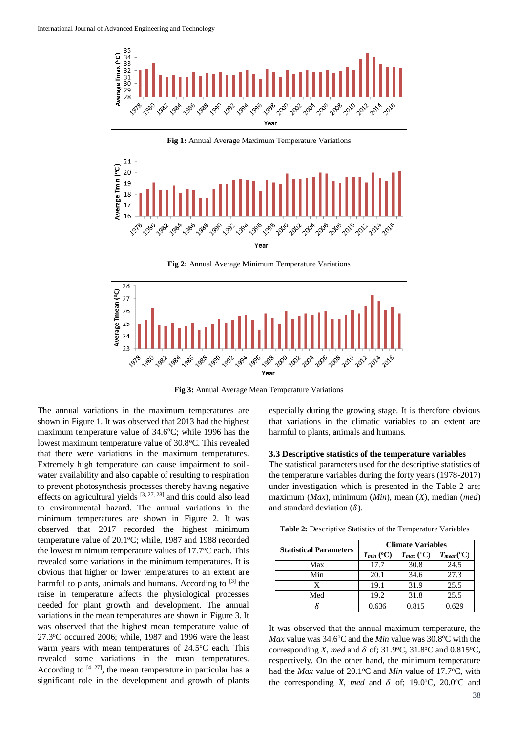

**Fig 1:** Annual Average Maximum Temperature Variations



**Fig 2:** Annual Average Minimum Temperature Variations



**Fig 3:** Annual Average Mean Temperature Variations

The annual variations in the maximum temperatures are shown in Figure 1. It was observed that 2013 had the highest maximum temperature value of  $34.6^{\circ}$ C; while 1996 has the lowest maximum temperature value of 30.8°C. This revealed that there were variations in the maximum temperatures. Extremely high temperature can cause impairment to soilwater availability and also capable of resulting to respiration to prevent photosynthesis processes thereby having negative effects on agricultural yields  $[3, 27, 28]$  and this could also lead to environmental hazard. The annual variations in the minimum temperatures are shown in Figure 2. It was observed that 2017 recorded the highest minimum temperature value of 20.1°C; while, 1987 and 1988 recorded the lowest minimum temperature values of  $17.7^{\circ}$ C each. This revealed some variations in the minimum temperatures. It is obvious that higher or lower temperatures to an extent are harmful to plants, animals and humans. According to [3] the raise in temperature affects the physiological processes needed for plant growth and development. The annual variations in the mean temperatures are shown in Figure 3. It was observed that the highest mean temperature value of  $27.3$ °C occurred 2006; while, 1987 and 1996 were the least warm years with mean temperatures of  $24.5^{\circ}$ C each. This revealed some variations in the mean temperatures. According to  $[4, 27]$ , the mean temperature in particular has a significant role in the development and growth of plants

especially during the growing stage. It is therefore obvious that variations in the climatic variables to an extent are harmful to plants, animals and humans.

# **3.3 Descriptive statistics of the temperature variables**

The statistical parameters used for the descriptive statistics of the temperature variables during the forty years (1978-2017) under investigation which is presented in the Table 2 are; maximum (*Max*), minimum (*Min*), mean (*X*), median (*med*) and standard deviation  $(\delta)$ .

**Table 2:** Descriptive Statistics of the Temperature Variables

| <b>Statistical Parameters</b> | <b>Climate Variables</b> |                |                            |  |  |
|-------------------------------|--------------------------|----------------|----------------------------|--|--|
|                               | $T_{min}$ (°C)           | $T_{max}$ (°C) | $T_{mean}$ <sup>(°C)</sup> |  |  |
| Max                           | 17.7                     | 30.8           | 24.5                       |  |  |
| Min                           | 20.1                     | 34.6           | 27.3                       |  |  |
| X.                            | 19.1                     | 31.9           | 25.5                       |  |  |
| Med                           | 19.2                     | 31.8           | 25.5                       |  |  |
|                               | 0.636                    | 0.815          | በ 629                      |  |  |

It was observed that the annual maximum temperature, the *Max* value was 34.6°C and the *Min* value was 30.8°C with the corresponding *X*, *med* and  $\delta$  of; 31.9°C, 31.8°C and 0.815°C, respectively. On the other hand, the minimum temperature had the *Max* value of 20.1°C and *Min* value of 17.7°C, with the corresponding *X*, *med* and  $\delta$  of; 19.0<sup>o</sup>C, 20.0<sup>o</sup>C and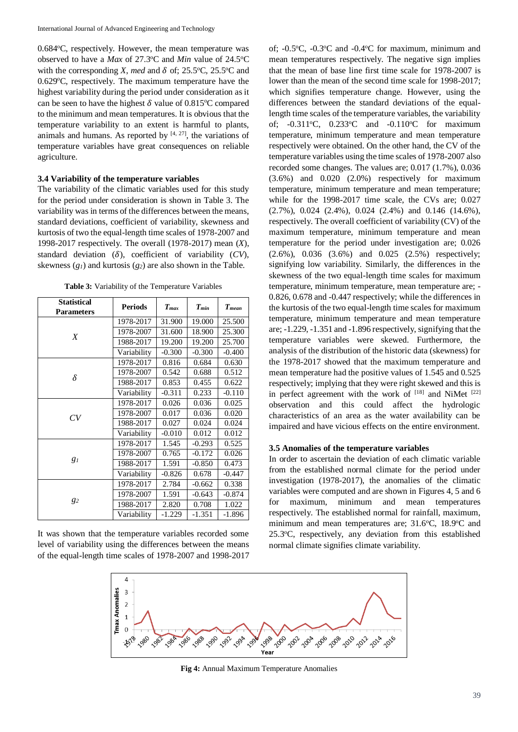$0.684$ <sup>o</sup>C, respectively. However, the mean temperature was observed to have a *Max* of 27.3°C and *Min* value of 24.5°C with the corresponding *X*, *med* and  $\delta$  of; 25.5°C, 25.5°C and  $0.629^{\circ}$ C, respectively. The maximum temperature have the highest variability during the period under consideration as it can be seen to have the highest  $\delta$  value of 0.815°C compared to the minimum and mean temperatures. It is obvious that the temperature variability to an extent is harmful to plants, animals and humans. As reported by  $[4, 27]$ , the variations of temperature variables have great consequences on reliable agriculture.

## **3.4 Variability of the temperature variables**

The variability of the climatic variables used for this study for the period under consideration is shown in Table 3. The variability was in terms of the differences between the means, standard deviations, coefficient of variability, skewness and kurtosis of two the equal-length time scales of 1978-2007 and 1998-2017 respectively. The overall (1978-2017) mean (*X*), standard deviation  $(\delta)$ , coefficient of variability  $(CV)$ , skewness (*g1*) and kurtosis (*g2*) are also shown in the Table.

**Table 3:** Variability of the Temperature Variables

| <b>Statistical</b><br><b>Parameters</b> | <b>Periods</b> | $T_{max}$ | $T_{min}$ | $T_{mean}$ |
|-----------------------------------------|----------------|-----------|-----------|------------|
|                                         | 1978-2017      | 31.900    | 19.000    | 25.500     |
|                                         | 1978-2007      | 31.600    | 18.900    | 25.300     |
| X                                       | 1988-2017      | 19.200    | 19.200    | 25.700     |
|                                         | Variability    | $-0.300$  | $-0.300$  | $-0.400$   |
|                                         | 1978-2017      | 0.816     | 0.684     | 0.630      |
| δ                                       | 1978-2007      | 0.542     | 0.688     | 0.512      |
|                                         | 1988-2017      | 0.853     | 0.455     | 0.622      |
|                                         | Variability    | $-0.311$  | 0.233     | $-0.110$   |
|                                         | 1978-2017      | 0.026     | 0.036     | 0.025      |
| CV                                      | 1978-2007      | 0.017     | 0.036     | 0.020      |
|                                         | 1988-2017      | 0.027     | 0.024     | 0.024      |
|                                         | Variability    | $-0.010$  | 0.012     | 0.012      |
|                                         | 1978-2017      | 1.545     | $-0.293$  | 0.525      |
|                                         | 1978-2007      | 0.765     | $-0.172$  | 0.026      |
| g <sub>I</sub>                          | 1988-2017      | 1.591     | $-0.850$  | 0.473      |
|                                         | Variability    | $-0.826$  | 0.678     | $-0.447$   |
|                                         | 1978-2017      | 2.784     | $-0.662$  | 0.338      |
|                                         | 1978-2007      | 1.591     | $-0.643$  | $-0.874$   |
| 82                                      | 1988-2017      | 2.820     | 0.708     | 1.022      |
|                                         | Variability    | $-1.229$  | $-1.351$  | $-1.896$   |

It was shown that the temperature variables recorded some level of variability using the differences between the means of the equal-length time scales of 1978-2007 and 1998-2017

of;  $-0.5\degree$ C,  $-0.3\degree$ C and  $-0.4\degree$ C for maximum, minimum and mean temperatures respectively. The negative sign implies that the mean of base line first time scale for 1978-2007 is lower than the mean of the second time scale for 1998-2017; which signifies temperature change. However, using the differences between the standard deviations of the equallength time scales of the temperature variables, the variability of; -0.311 $^{\circ}$ C, 0.233 $^{\circ}$ C and -0.110 $^{\circ}$ C for maximum temperature, minimum temperature and mean temperature respectively were obtained. On the other hand, the CV of the temperature variables using the time scales of 1978-2007 also recorded some changes. The values are; 0.017 (1.7%), 0.036 (3.6%) and 0.020 (2.0%) respectively for maximum temperature, minimum temperature and mean temperature; while for the 1998-2017 time scale, the CVs are; 0.027 (2.7%), 0.024 (2.4%), 0.024 (2.4%) and 0.146 (14.6%), respectively. The overall coefficient of variability (CV) of the maximum temperature, minimum temperature and mean temperature for the period under investigation are; 0.026 (2.6%), 0.036 (3.6%) and 0.025 (2.5%) respectively; signifying low variability. Similarly, the differences in the skewness of the two equal-length time scales for maximum temperature, minimum temperature, mean temperature are; - 0.826, 0.678 and -0.447 respectively; while the differences in the kurtosis of the two equal-length time scales for maximum temperature, minimum temperature and mean temperature are; -1.229, -1.351 and -1.896 respectively, signifying that the temperature variables were skewed. Furthermore, the analysis of the distribution of the historic data (skewness) for the 1978-2017 showed that the maximum temperature and mean temperature had the positive values of 1.545 and 0.525 respectively; implying that they were right skewed and this is in perfect agreement with the work of  $^{[18]}$  and NiMet  $^{[22]}$ observation and this could affect the hydrologic characteristics of an area as the water availability can be impaired and have vicious effects on the entire environment.

#### **3.5 Anomalies of the temperature variables**

In order to ascertain the deviation of each climatic variable from the established normal climate for the period under investigation (1978-2017), the anomalies of the climatic variables were computed and are shown in Figures 4, 5 and 6 for maximum, minimum and mean temperatures respectively. The established normal for rainfall, maximum, minimum and mean temperatures are;  $31.6^{\circ}$ C,  $18.9^{\circ}$ C and 25.3<sup>o</sup>C, respectively, any deviation from this established normal climate signifies climate variability.



**Fig 4:** Annual Maximum Temperature Anomalies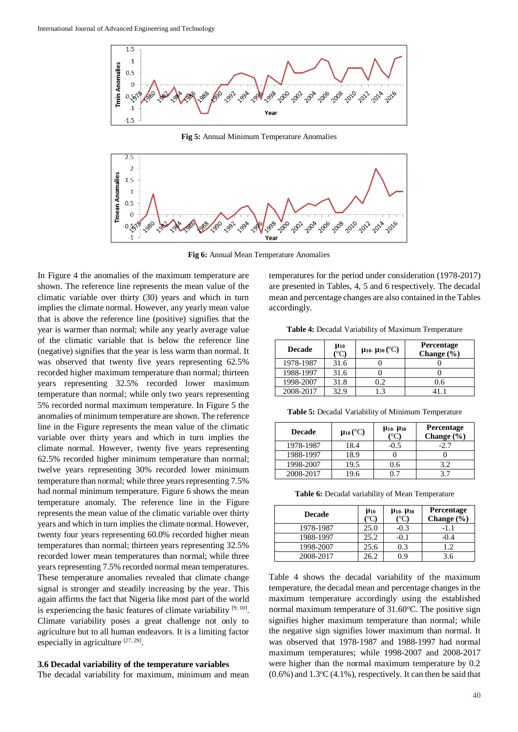

**Fig 5:** Annual Minimum Temperature Anomalies



**Fig 6:** Annual Mean Temperature Anomalies

In Figure 4 the anomalies of the maximum temperature are shown. The reference line represents the mean value of the climatic variable over thirty (30) years and which in turn implies the climate normal. However, any yearly mean value that is above the reference line (positive) signifies that the year is warmer than normal; while any yearly average value of the climatic variable that is below the reference line (negative) signifies that the year is less warm than normal. It was observed that twenty five years representing 62.5% recorded higher maximum temperature than normal; thirteen years representing 32.5% recorded lower maximum temperature than normal; while only two years representing 5% recorded normal maximum temperature. In Figure 5 the anomalies of minimum temperature are shown. The reference line in the Figure represents the mean value of the climatic variable over thirty years and which in turn implies the climate normal. However, twenty five years representing 62.5% recorded higher minimum temperature than normal; twelve years representing 30% recorded lower minimum temperature than normal; while three years representing 7.5% had normal minimum temperature. Figure 6 shows the mean temperature anomaly. The reference line in the Figure represents the mean value of the climatic variable over thirty years and which in turn implies the climate normal. However, twenty four years representing 60.0% recorded higher mean temperatures than normal; thirteen years representing 32.5% recorded lower mean temperatures than normal; while three years representing 7.5% recorded normal mean temperatures. These temperature anomalies revealed that climate change signal is stronger and steadily increasing by the year. This again affirms the fact that Nigeria like most part of the world is experiencing the basic features of climate variability  $[9, 10]$ . Climate variability poses a great challenge not only to agriculture but to all human endeavors. It is a limiting factor especially in agriculture [27, 29].

### **3.6 Decadal variability of the temperature variables**

The decadal variability for maximum, minimum and mean

temperatures for the period under consideration (1978-2017) are presented in Tables, 4, 5 and 6 respectively. The decadal mean and percentage changes are also contained in the Tables accordingly.

**Table 4:** Decadal Variability of Maximum Temperature

| <b>Decade</b> | $\mu_{10}$<br>$(^{\circ}C)$ | $\mu_{10}$ . $\mu_{30}$ (°C) | <b>Percentage</b><br>Change $(\% )$ |
|---------------|-----------------------------|------------------------------|-------------------------------------|
| 1978-1987     | 31.6                        |                              |                                     |
| 1988-1997     | 31.6                        |                              |                                     |
| 1998-2007     | 31.8                        | 0.2                          | 0.6                                 |
| 2008-2017     | 32.9                        | $\cdot$ 3                    |                                     |

**Table 5:** Decadal Variability of Minimum Temperature

| <b>Decade</b> | $\mu_{10}$ (°C) | $\mu_{10}$ - $\mu_{30}$ | <b>Percentage</b><br>Change $(\% )$ |
|---------------|-----------------|-------------------------|-------------------------------------|
| 1978-1987     | 18.4            | $-0.5$                  | -2.7                                |
| 1988-1997     | 18.9            |                         |                                     |
| 1998-2007     | 19.5            | 0.6                     | 3.2                                 |
| 2008-2017     | 19.6            |                         | 37                                  |

**Table 6:** Decadal variability of Mean Temperature

| <b>Decade</b> | $\mu_{10}$   | $\mu_{10}$ . $\mu_{30}$ | Percentage<br>Change (%) |
|---------------|--------------|-------------------------|--------------------------|
| 1978-1987     | 25.0         | $-0.3$                  | $-1.1$                   |
| 1988-1997     | 25.2         | -0.1                    | $-0.4$                   |
| 1998-2007     | 25.6         | 0.3                     | 1.2                      |
| 2008-2017     | $16^{\circ}$ | ገ ዓ                     | 3.6                      |

Table 4 shows the decadal variability of the maximum temperature, the decadal mean and percentage changes in the maximum temperature accordingly using the established normal maximum temperature of  $31.60^{\circ}$ C. The positive sign signifies higher maximum temperature than normal; while the negative sign signifies lower maximum than normal. It was observed that 1978-1987 and 1988-1997 had normal maximum temperatures; while 1998-2007 and 2008-2017 were higher than the normal maximum temperature by 0.2  $(0.6\%)$  and  $1.3\degree$ C $(4.1\%)$ , respectively. It can then be said that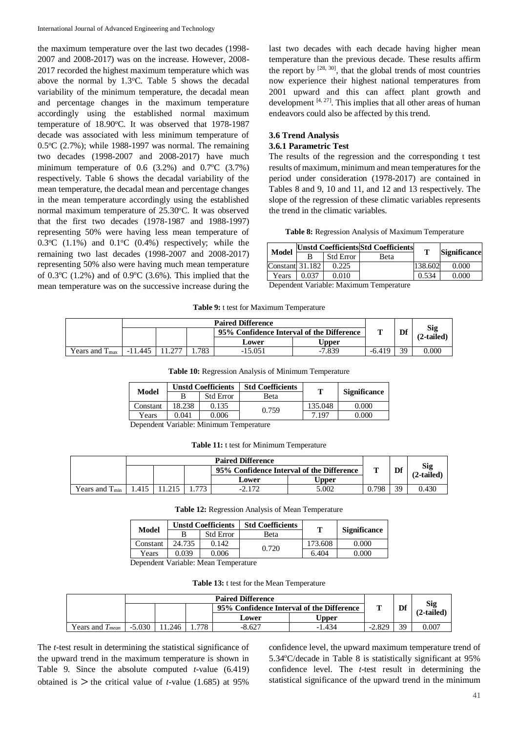the maximum temperature over the last two decades (1998- 2007 and 2008-2017) was on the increase. However, 2008- 2017 recorded the highest maximum temperature which was above the normal by  $1.3^{\circ}$ C. Table 5 shows the decadal variability of the minimum temperature, the decadal mean and percentage changes in the maximum temperature accordingly using the established normal maximum temperature of  $18.90^{\circ}$ C. It was observed that 1978-1987 decade was associated with less minimum temperature of  $0.5^{\circ}C$  (2.7%); while 1988-1997 was normal. The remaining two decades (1998-2007 and 2008-2017) have much minimum temperature of  $0.6$   $(3.2\%)$  and  $0.7\degree$ C  $(3.7\%)$ respectively. Table 6 shows the decadal variability of the mean temperature, the decadal mean and percentage changes in the mean temperature accordingly using the established normal maximum temperature of 25.30°C. It was observed that the first two decades (1978-1987 and 1988-1997) representing 50% were having less mean temperature of  $0.3$ <sup>o</sup>C  $(1.1\%)$  and  $0.1$ <sup>o</sup>C  $(0.4\%)$  respectively; while the remaining two last decades (1998-2007 and 2008-2017) representing 50% also were having much mean temperature of 0.3 $\degree$ C (1.2%) and of 0.9 $\degree$ C (3.6%). This implied that the mean temperature was on the successive increase during the

last two decades with each decade having higher mean temperature than the previous decade. These results affirm the report by  $[28, 30]$ , that the global trends of most countries now experience their highest national temperatures from 2001 upward and this can affect plant growth and development  $[4, 27]$ . This implies that all other areas of human endeavors could also be affected by this trend.

# **3.6 Trend Analysis**

# **3.6.1 Parametric Test**

The results of the regression and the corresponding t test results of maximum, minimum and mean temperatures for the period under consideration (1978-2017) are contained in Tables 8 and 9, 10 and 11, and 12 and 13 respectively. The slope of the regression of these climatic variables represents the trend in the climatic variables.

**Table 8:** Regression Analysis of Maximum Temperature

| <b>Model</b>    |       |                  | <b>Unstd Coefficients Std Coefficients</b> | т       |                     |  |
|-----------------|-------|------------------|--------------------------------------------|---------|---------------------|--|
|                 |       | <b>Std Error</b> | Beta                                       |         | <b>Significance</b> |  |
| Constant 31.182 |       | 0.225            |                                            | 138.602 | 0.000               |  |
| Years           | 0.037 | 0.010            |                                            | 0.534   | 0.000               |  |

Dependent Variable: Maximum Temperature

**Table 9:** t test for Maximum Temperature

|                            |             |      | <b>Paired Difference</b>                  |              |          |    |                          |
|----------------------------|-------------|------|-------------------------------------------|--------------|----------|----|--------------------------|
|                            |             |      | 95% Confidence Interval of the Difference |              |          | Df | <b>Sig</b><br>(2-tailed) |
|                            |             |      | Lower                                     | <b>Upper</b> |          |    |                          |
| Years and $T_{\text{max}}$ | .445<br>-11 | .783 | 15.051<br>- 1                             | -7.839       | $-6.419$ | 39 | 0.000                    |

| Table 10: Regression Analysis of Minimum Temperature |  |  |  |  |  |
|------------------------------------------------------|--|--|--|--|--|
|------------------------------------------------------|--|--|--|--|--|

| Model    |        | <b>Unstd Coefficients</b>                                                                                                                      | <b>Std Coefficients</b> | т       | <b>Significance</b> |  |  |
|----------|--------|------------------------------------------------------------------------------------------------------------------------------------------------|-------------------------|---------|---------------------|--|--|
|          |        | <b>Std Error</b>                                                                                                                               | Beta                    |         |                     |  |  |
| Constant | 18.238 | 0.135                                                                                                                                          | 0.759                   | 135.048 | 0.000               |  |  |
| Years    | 0.041  | 0.006                                                                                                                                          |                         | 7.197   | 0.000               |  |  |
|          |        | $\mathbf{r}$ $\mathbf{r}$ $\mathbf{r}$ $\mathbf{r}$ $\mathbf{r}$ $\mathbf{r}$ $\mathbf{r}$ $\mathbf{r}$ $\mathbf{r}$ $\mathbf{r}$ $\mathbf{r}$ |                         |         |                     |  |  |

Dependent Variable: Minimum Temperature

**Table 11:** t test for Minimum Temperature

|                     |       |     | <b>Paired Difference</b>                  |       |       |    |                   |
|---------------------|-------|-----|-------------------------------------------|-------|-------|----|-------------------|
|                     |       |     | 95% Confidence Interval of the Difference |       |       | Df | Sig<br>(2-tailed) |
|                     |       |     | Lower                                     | Upper |       |    |                   |
| Years and $T_{min}$ | 1.415 | 773 | -4.1                                      | 5.002 | 0.798 | 39 | 0.430             |

**Table 12:** Regression Analysis of Mean Temperature

| Model    | <b>Unstd Coefficients</b> |                                           | <b>Std Coefficients</b><br>m |         |                     |
|----------|---------------------------|-------------------------------------------|------------------------------|---------|---------------------|
|          |                           | <b>Std Error</b>                          | <b>B</b> eta                 |         | <b>Significance</b> |
| Constant | 24.735                    | 0.142                                     | 0.720                        | 173.608 | 0.000               |
| Years    | 0.039                     | 0.006                                     |                              | 6.404   | 0.000               |
|          |                           | Den en Jant Vanjaklar Maan, Tanananatsus- |                              |         |                     |

Dependent Variable: Mean Temperature

**Table 13:** t test for the Mean Temperature

|                      |          |      |     | <b>Paired Difference</b>                  |          |          |                   |       |
|----------------------|----------|------|-----|-------------------------------------------|----------|----------|-------------------|-------|
|                      |          |      |     | 95% Confidence Interval of the Difference |          | Df       | Sig<br>(2-tailed) |       |
|                      |          |      |     | Lower                                     | ∪pper    |          |                   |       |
| Years and $T_{mean}$ | $-5.030$ | .246 | 778 | $-8.627$                                  | $-1.434$ | $-2.829$ | 39                | 0.007 |

The *t*-test result in determining the statistical significance of the upward trend in the maximum temperature is shown in Table 9. Since the absolute computed *t*-value (6.419) obtained is  $>$  the critical value of *t*-value (1.685) at 95%

confidence level, the upward maximum temperature trend of 5.34°C/decade in Table 8 is statistically significant at 95% confidence level. The *t*-test result in determining the statistical significance of the upward trend in the minimum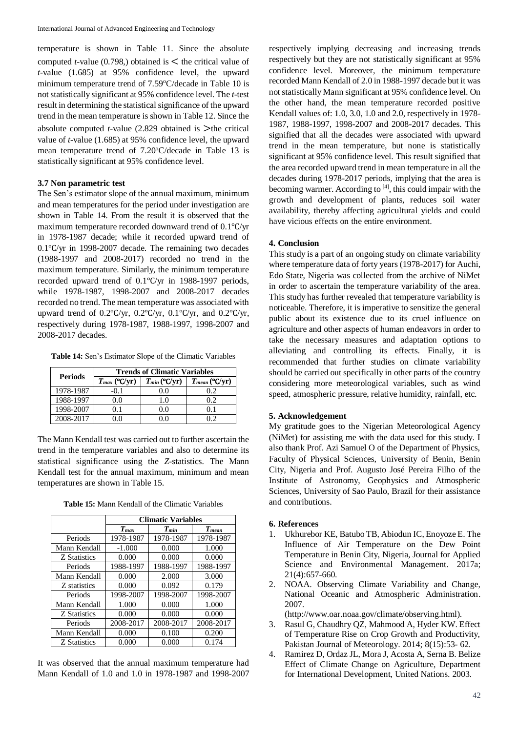temperature is shown in Table 11. Since the absolute computed *t*-value (0.798,) obtained is  $\leq$  the critical value of *t*-value (1.685) at 95% confidence level, the upward minimum temperature trend of  $7.59^{\circ}$ C/decade in Table 10 is not statistically significant at 95% confidence level. The *t*-test result in determining the statistical significance of the upward trend in the mean temperature is shown in Table 12. Since the absolute computed  $t$ -value (2.829 obtained is  $\geq$ the critical value of *t*-value (1.685) at 95% confidence level, the upward mean temperature trend of 7.20 °C/decade in Table 13 is statistically significant at 95% confidence level.

# **3.7 Non parametric test**

The Sen's estimator slope of the annual maximum, minimum and mean temperatures for the period under investigation are shown in Table 14. From the result it is observed that the maximum temperature recorded downward trend of 0.1℃/yr in 1978-1987 decade; while it recorded upward trend of 0.1℃/yr in 1998-2007 decade. The remaining two decades (1988-1997 and 2008-2017) recorded no trend in the maximum temperature. Similarly, the minimum temperature recorded upward trend of 0.1℃/yr in 1988-1997 periods, while 1978-1987, 1998-2007 and 2008-2017 decades recorded no trend. The mean temperature was associated with upward trend of 0.2℃/yr, 0.2℃/yr, 0.1℃/yr, and 0.2℃/yr, respectively during 1978-1987, 1988-1997, 1998-2007 and 2008-2017 decades.

**Table 14:** Sen's Estimator Slope of the Climatic Variables

| <b>Periods</b> | <b>Trends of Climatic Variables</b> |                   |                    |  |  |  |
|----------------|-------------------------------------|-------------------|--------------------|--|--|--|
|                | $T_{max}$ (°C/yr)                   | $T_{min}$ (°C/yr) | $T_{mean}$ (°C/yr) |  |  |  |
| 1978-1987      | $-0.1$                              | 0.0               | 0.2                |  |  |  |
| 1988-1997      | 0.0                                 | 1.0               | 02                 |  |  |  |
| 1998-2007      | 0.1                                 | 0.0               |                    |  |  |  |
| 2008-2017      |                                     |                   |                    |  |  |  |

The Mann Kendall test was carried out to further ascertain the trend in the temperature variables and also to determine its statistical significance using the *Z*-statistics. The Mann Kendall test for the annual maximum, minimum and mean temperatures are shown in Table 15.

**Table 15:** Mann Kendall of the Climatic Variables

|              | <b>Climatic Variables</b> |           |            |  |
|--------------|---------------------------|-----------|------------|--|
|              | $T_{max}$                 | $T_{min}$ | $T_{mean}$ |  |
| Periods      | 1978-1987                 | 1978-1987 | 1978-1987  |  |
| Mann Kendall | $-1.000$                  | 0.000     | 1.000      |  |
| Z Statistics | 0.000                     | 0.000     | 0.000      |  |
| Periods      | 1988-1997                 | 1988-1997 | 1988-1997  |  |
| Mann Kendall | 0.000                     | 2.000     | 3.000      |  |
| Z statistics | 0.000                     | 0.092     | 0.179      |  |
| Periods      | 1998-2007                 | 1998-2007 | 1998-2007  |  |
| Mann Kendall | 1.000                     | 0.000     | 1.000      |  |
| Z Statistics | 0.000                     | 0.000     | 0.000      |  |
| Periods      | 2008-2017                 | 2008-2017 | 2008-2017  |  |
| Mann Kendall | 0.000                     | 0.100     | 0.200      |  |
| Z Statistics | 0.000                     | 0.000     | 0.174      |  |

It was observed that the annual maximum temperature had Mann Kendall of 1.0 and 1.0 in 1978-1987 and 1998-2007

respectively implying decreasing and increasing trends respectively but they are not statistically significant at 95% confidence level. Moreover, the minimum temperature recorded Mann Kendall of 2.0 in 1988-1997 decade but it was not statistically Mann significant at 95% confidence level. On the other hand, the mean temperature recorded positive Kendall values of: 1.0, 3.0, 1.0 and 2.0, respectively in 1978- 1987, 1988-1997, 1998-2007 and 2008-2017 decades. This signified that all the decades were associated with upward trend in the mean temperature, but none is statistically significant at 95% confidence level. This result signified that the area recorded upward trend in mean temperature in all the decades during 1978-2017 periods, implying that the area is becoming warmer. According to  $[4]$ , this could impair with the growth and development of plants, reduces soil water availability, thereby affecting agricultural yields and could have vicious effects on the entire environment.

# **4. Conclusion**

This study is a part of an ongoing study on climate variability where temperature data of forty years (1978-2017) for Auchi, Edo State, Nigeria was collected from the archive of NiMet in order to ascertain the temperature variability of the area. This study has further revealed that temperature variability is noticeable. Therefore, it is imperative to sensitize the general public about its existence due to its cruel influence on agriculture and other aspects of human endeavors in order to take the necessary measures and adaptation options to alleviating and controlling its effects. Finally, it is recommended that further studies on climate variability should be carried out specifically in other parts of the country considering more meteorological variables, such as wind speed, atmospheric pressure, relative humidity, rainfall, etc.

# **5. Acknowledgement**

My gratitude goes to the Nigerian Meteorological Agency (NiMet) for assisting me with the data used for this study. I also thank Prof. Azi Samuel O of the Department of Physics, Faculty of Physical Sciences, University of Benin, Benin City, Nigeria and Prof. Augusto José Pereira Filho of the Institute of Astronomy, Geophysics and Atmospheric Sciences, University of Sao Paulo, Brazil for their assistance and contributions.

# **6. References**

- 1. Ukhurebor KE, Batubo TB, Abiodun IC, Enoyoze E. The Influence of Air Temperature on the Dew Point Temperature in Benin City, Nigeria, Journal for Applied Science and Environmental Management. 2017a; 21(4):657-660.
- 2. NOAA. Observing Climate Variability and Change, National Oceanic and Atmospheric Administration. 2007.

(http://www.oar.noaa.gov/climate/observing.html).

- 3. Rasul G, Chaudhry QZ, Mahmood A, Hyder KW. Effect of Temperature Rise on Crop Growth and Productivity, Pakistan Journal of Meteorology. 2014; 8(15):53- 62.
- 4. Ramirez D, Ordaz JL, Mora J, Acosta A, Serna B. Belize Effect of Climate Change on Agriculture, Department for International Development, United Nations. 2003.